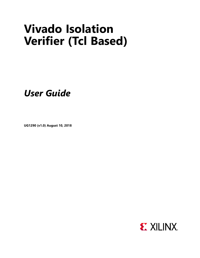# **Vivado Isolation Verifier (Tcl Based)**

*User Guide*

**UG1290 (v1.0) August 10, 2018**

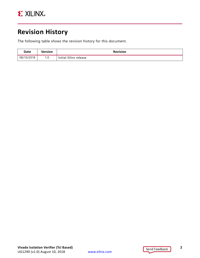

### <span id="page-1-0"></span>**Revision History**

The following table shows the revision history for this document.

| Date       | Version | <b>Revision</b>         |  |
|------------|---------|-------------------------|--|
| 08/10/2018 | 1.0     | Initial Xilinx release. |  |

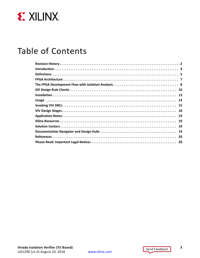

## Table of Contents

www.xilinx.com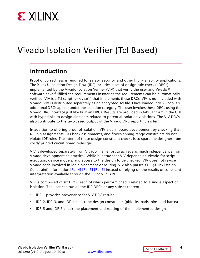

# Vivado Isolation Verifier (Tcl Based)

#### <span id="page-3-0"></span>**Introduction**

Proof of correctness is required for safety, security, and other high-reliability applications. The Xilinx® Isolation Design Flow (IDF) includes a set of design rule checks (DRCs) implemented by the Vivado Isolation Verifier (VIV) that verify the user and Vivado® software have fulfilled the requirements insofar as the requirements can be automatically verified. VIV is a Tcl script  $(viv.tc1)$  that implements these DRCs. VIV is not included with Vivado. VIV is distributed separately as an encrypted Tcl file. Once loaded into Vivado, six additional DRCs appear under the Isolation category. The user invokes these DRCs using the Vivado DRC interface just like built-in DRCs. Results are provided in tabular form in the GUI with hyperlinks to design elements related to potential isolation violations. The VIV DRCs also contribute to the text-based output of the Vivado DRC reporting system.

In addition to offering proof of isolation, VIV aids in board development by checking that I/O pin assignments, I/O bank assignments, and floorplanning range constraints do not violate IDF rules. The intent of these design constraint checks is to spare the designer from costly printed circuit board redesigns.

VIV is developed separately from Vivado in an effort to achieve as much independence from Vivado development as practical. While it is true that VIV depends on Vivado for script execution, device models, and access to the design to be checked, VIV does not re-use Vivado code involved in logic placement or routing. VIV also parses XDC (Xilinx Design Constraint) information [\[Ref 4\]](#page-19-2) [\[Ref 5\]](#page-19-3) [\[Ref 6\]](#page-19-4) instead of relying on the results of constraint interpretation available through the Vivado Tcl API.

VIV is composed of six DRCs, each of which perform checks related to a single aspect of isolation. The user can run all the IDF DRCs or any subset thereof.

- IDF-1 provides provenance for VIV DRC results.
- IDF-2, IDF-3, and IDF-4 check the design constraints (pblocks, pads, pins, and banks).
- IDF-5 and IDF-6 check the placement and routing of the implemented design.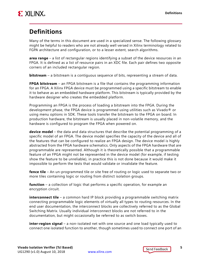

### <span id="page-4-0"></span>**Definitions**

Many of the terms in this document are used in a specialized sense. The following glossary might be helpful to readers who are not already well versed in Xilinx terminology related to FGPA architecture and configuration, or to a lesser extent, search algorithms.

**area range** – a list of rectangular regions identifying a subset of the device resources in an FPGA. It is defined as a list of resource pairs in an XDC file. Each pair defines two opposite corners of an included rectangular region.

**bitstream** – a bitstream is a contiguous sequence of bits, representing a stream of data.

**FPGA bitstream** – an FPGA bitstream is a file that contains the programming information for an FPGA. A Xilinx FPGA device must be programmed using a specific bitstream to enable it to behave as an embedded hardware platform. This bitstream is typically provided by the hardware designer who creates the embedded platform.

Programming an FPGA is the process of loading a bitstream into the FPGA. During the development phase, the FPGA device is programmed using utilities such as Vivado $\mathcal{O}$  or using menu options in SDK. These tools transfer the bitstream to the FPGA on board. In production hardware, the bitstream is usually placed in non-volatile memory, and the hardware is configured to program the FPGA when powered on.

**device model** – the data and data structures that describe the potential programming of a specific model of an FPGA. The device model specifies the capacity of the device and all of the features that can be configured to realize an FPGA design. The device model is highly abstracted from the FPGA hardware schematics. Only aspects of the FPGA hardware that are programmable are represented. Although it is theoretically possible that a programmable feature of an FPGA might not be represented in the device model (for example, if testing show the feature to be unreliable), in practice this is not done because it would make it impossible to perform the tests that would validate or invalidate the feature.

**fence tile** – An un-programmed tile or site free of routing or logic used to separate two or more tiles containing logic or routing from distinct isolation groups.

**function** – a collection of logic that performs a specific operation, for example an encryption circuit.

**interconnect tile** – a common hard IP block providing a programmable switching matrix connecting programmable logic elements of virtually all types to routing resources. In the end user documentation, the interconnect blocks are collectively referred to as the Global Switching Matrix. Usually individual interconnect blocks are not referred to in the documentation, but might occasionally be referred to as switch boxes.

**inter-region signal** – a non-isolated net with one source and one load typically used to connect one isolated function to another, though sometimes used to connect one port of an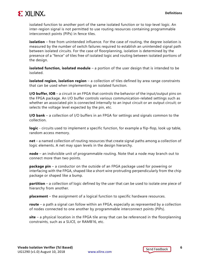

isolated function to another port of the same isolated function or to top-level logic. An inter-region signal is not permitted to use routing resources containing programmable interconnect points (PIPs) in fence tiles.

**isolation** – free from unintended influence. For the case of routing, the degree isolation is measured by the number of switch failures required to establish an unintended signal path between isolated circuits. For the case of floorplanning, isolation is determined by the presence of a "fence" of tiles free of isolated logic and routing between isolated portions of the design.

**isolated function, isolated module** – a portion of the user design that is intended to be isolated.

**isolated region, isolation region** – a collection of tiles defined by area range constraints that can be used when implementing an isolated function.

**I/O buffer, IOB** – a circuit in an FPGA that controls the behavior of the input/output pins on the FPGA package. An I/O buffer controls various communication-related settings such as whether an associated pin is connected internally to an input circuit or an output circuit; or selects the voltage level expected by the pin, etc.

**I/O bank** – a collection of I/O buffers in an FPGA for settings and signals common to the collection.

**logic** - circuits used to implement a specific function, for example a flip-flop, look up table, random access memory.

**net** – a named collection of routing resources that create signal paths among a collection of logic elements. A net may span levels in the design hierarchy.

**node** – an indivisible unit of programmable routing. Note that a node may branch out to connect more than two points.

**package pin** – a conductor on the outside of an FPGA package used for powering or interfacing with the FPGA, shaped like a short wire protruding perpendicularly from the chip package or shaped like a bump.

**partition** – a collection of logic defined by the user that can be used to isolate one piece of hierarchy from another.

**placement** – the assignment of a logical function to specific hardware resources.

**route** – a path a signal can follow within an FPGA, especially as represented by a collection of nodes connected to one another by programmable interconnect points (PIPs).

**site** – a physical location in the FPGA tile array that can be referenced in the floorplanning constraints, such as a SLICE, or RAMB16, etc.

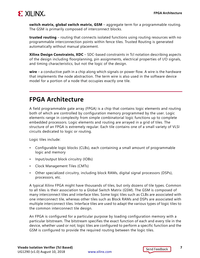

**switch matrix, global switch matrix, GSM** – aggregate term for a programmable routing. The GSM is primarily composed of interconnect blocks.

**trusted routing** – routing that connects isolated functions using routing resources with no programmable interconnection points within fence tiles. Trusted Routing is generated automatically without manual placement.

**Xilinx Design Constraints, XDC** – SDC-based constraints in Tcl notation describing aspects of the design including floorplanning, pin assignments, electrical properties of I/O signals, and timing characteristics, but not the logic of the design.

**wire** – a conductive path in a chip along which signals or power flow. A wire is the hardware that implements the node abstraction. The term wire is also used in the software device model for a portion of a node that occupies exactly one tile.

#### <span id="page-6-0"></span>**FPGA Architecture**

A field programmable gate array (FPGA) is a chip that contains logic elements and routing both of which are controlled by configuration memory programmed by the user. Logic elements range in complexity from simple combinatorial logic functions up to complete embedded processors. Logic elements and routing are arrayed in a grid of tiles. The structure of an FPGA is extremely regular. Each tile contains one of a small variety of VLSI circuits dedicated to logic or routing.

Logic tiles include:

- Configurable logic blocks (CLBs), each containing a small amount of programmable logic and memory
- Input/output block circuitry (IOBs)
- Clock Management Tiles (CMTs)
- Other specialized circuitry, including block RAMs, digital signal processors (DSPs), processors, etc.

A typical Xilinx FPGA might have thousands of tiles, but only dozens of tile types. Common to all tiles is their association to a Global Switch Matrix (GSM). The GSM is composed of many interconnect tiles and interface tiles. Some logic tiles such as CLBs are associated with one interconnect tile, whereas other tiles such as Block RAMs and DSPs are associated with multiple interconnect tiles. Interface tiles are used to adapt the various types of logic tiles to the common interconnect tile design.

An FPGA is configured for a particular purpose by loading configuration memory with a particular bitstream. The bitstream specifies the exact function of each and every tile in the device, whether used or not; logic tiles are configured to perform a specific function and the GSM is configured to provide the required routing between the logic tiles.

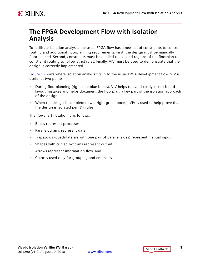

#### <span id="page-7-0"></span>**The FPGA Development Flow with Isolation Analysis**

To facilitate isolation analysis, the usual FPGA flow has a new set of constraints to control routing and additional floorplanning requirements. First, the design must be manually floorplanned. Second, constraints must be applied to isolated regions of the floorplan to constraint routing to follow strict rules. Finally, VIV must be used to demonstrate that the design is correctly implemented.

[Figure 1](#page-8-0) shows where isolation analysis fits in to the usual FPGA development flow. VIV is useful at two points:

- During floorplanning (right side blue boxes), VIV helps to avoid costly circuit board layout mistakes and helps document the floorplan, a key part of the isolation approach of the design.
- When the design is complete (lower right green boxes), VIV is used to help prove that the design is isolated per IDF rules.

The flowchart notation is as follows:

- Boxes represent processes
- Parallelograms represent data
- Trapezoids (quadrilaterals with one pair of parallel sides) represent manual input
- Shapes with curved bottoms represent output
- Arrows represent information flow, and
- Color is used only for grouping and emphasis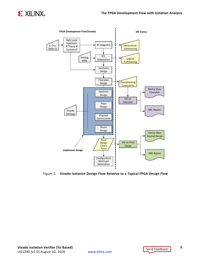





<span id="page-8-0"></span>*Figure 1:* **Vivado Isolation Design Flow Relative to a Typical FPGA Design Flow**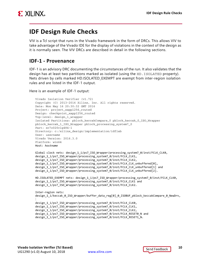

#### <span id="page-9-0"></span>**IDF Design Rule Checks**

VIV is a Tcl script that runs in the Vivado framework in the form of DRCs. This allows VIV to take advantage of the Vivado IDE for the display of violations in the context of the design as it is normally seen. The VIV DRCs are described in detail in the following sections.

#### **IDF-1 - Provenance**

IDF-1 is an advisory DRC documenting the circumstances of the run. It also validates that the design has at least two partitions marked as isolated (using the HD.ISOLATED property). Nets driven by cells marked HD.ISOLATED\_EXEMPT are exempt from inter-region isolation rules and are listed in the IDF-1 output.

Here is an example of IDF-1 output:

```
Vivado Isolation Verifier (v1.72) 
Copyright (C) 2013-2016 Xilinx, Inc. All rights reserved. 
Date: Mon May 16 20:30:32 GMT 2016 
Project: project_xapp1256_routed 
Design: checkpoint_xapp1256_routed 
Top-level: design_1_wrapper 
Isolated Partitions: pblock_keccakCompare_0 pblock_keccak_0_ISO_Wrapper 
pblock_keccak_1_ISO_Wrapper pblock_processing_system7_0 
Part: xc7z020clg484-1 
Directory: c:/xilinx_design/implementation/idflab 
User: username
Vivado Version: 2016.3.0 
Platform: win64 
Host: hostname
Global clock nets: design 1 i/ps7 ISO Wrapper/processing system7 0/inst/FCLK CLK0,
design_1_i/ps7_ISO_Wrapper/processing_system7_0/inst/FCLK_CLK1, 
design_1_i/ps7_ISO_Wrapper/processing_system7_0/inst/FCLK_CLK2, 
design_1_i/ps7_ISO_Wrapper/processing_system7_0/inst/FCLK_CLK_unbuffered[0], 
design_1_i/ps7_ISO_Wrapper/processing_system7_0/inst/FCLK_CLK_unbuffered[1] and 
design_1_i/ps7_ISO_Wrapper/processing_system7_0/inst/FCLK_CLK_unbuffered[2].
HD.ISOLATED EXEMPT nets: design 1 i/ps7 ISO Wrapper/processing system7 0/inst/FCLK CLK0,
design 1 i/ps7 ISO Wrapper/processing system7 0/inst/FCLK CLK1 and
design 1 i/ps7 ISO Wrapper/processing system7 0/inst/FCLK CLK2.
Inter-region nets: 
design_1_i/keccak_0_ISO_Wrapper/buffer_data_reg[0]_0_ISOBUF_pblock_keccakCompare_0_NewDrv,
\ddot{\cdot}design_1_i/ps7_ISO_Wrapper/processing_system7_0/inst/FCLK_CLK0, 
design_1_i/ps7_ISO_Wrapper/processing_system7_0/inst/FCLK_CLK1, 
design_1_i/ps7_ISO_Wrapper/processing_system7_0/inst/FCLK_CLK2, 
design_1_i/ps7_ISO_Wrapper/processing_system7_0/inst/FCLK_RESET0_N and 
design 1 i/ps7 ISO Wrapper/processing system7 0/inst/FCLK RESET1 N.
```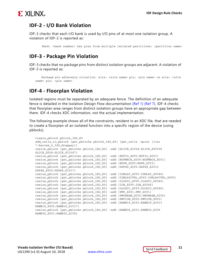

#### **IDF-2 - I/O Bank Violation**

IDF-2 checks that each I/O bank is used by I/O pins of at most one isolation group. A violation of IDF-2 is reported as:

Bank: <br/> <br/> Aumber> has pins from multiple isolated partitions: <partition name>

#### **IDF-3 - Package Pin Violation**

IDF-3 checks that no package pins from distinct isolation groups are adjacent. A violation of IDF-3 is reported as:

 Package pin adjacency violation: site: <*site name*> pin: <*pin name*> vs site: <*site name*> pin: <*pin name*>.

#### **IDF-4 - Floorplan Violation**

Isolated regions must be separated by an adequate fence. The definition of an adequate fence is detailed in the Isolation Design Flow documentation [\[Ref 1\]](#page-19-5) [\[Ref 7\].](#page-19-6) IDF-4 checks that floorplan area ranges from distinct isolation groups have an appropriate gap between them. IDF-4 checks XDC information, not the actual implementation.

The following example shows all of the constraints, resident in an XDC file, that are needed to create a floorplan of an isolated function into a specific region of the device (using pblocks).

```
create_pblock pblock_ISO_K0
add_cells_to_pblock [get_pblocks pblock_ISO_K0] [get_cells -quiet [list 
*/keccak_0_ISO_Wrapper]]
resize_pblock [get_pblocks pblock_ISO_K0] -add {SLICE_X32Y4:SLICE_X55Y38 
SLICE_X0Y4:SLICE_X31Y47}
resize_pblock [get_pblocks pblock_ISO_K0] -add {BUFIO_X0Y0:BUFIO_X0Y3}
resize_pblock [get_pblocks pblock_ISO_K0] -add {BUFMRCE_X0Y0:BUFMRCE_X0Y1}
resize_pblock [get_pblocks pblock_ISO_K0] -add {BUFR_X0Y0:BUFR_X0Y3}
resize_pblock [get_pblocks pblock_ISO_K0] -add {DSP48_X2Y2:DSP48_X2Y13 
DSP48_X0Y2:DSP48_X1Y17}
resize_pblock [get_pblocks pblock_ISO_K0] -add {IDELAY_X0Y5:IDELAY_X0Y46}
resize_pblock [get_pblocks pblock_ISO_K0] -add {IDELAYCTRL_X0Y0:IDELAYCTRL_X0Y0}
resize_pblock [get_pblocks pblock_ISO_K0] -add {ILOGIC_X0Y5:ILOGIC_X0Y46}
resize_pblock [get_pblocks pblock_ISO_K0] -add {IOB_X0Y5:IOB_X0Y46}
resize_pblock [get_pblocks pblock_ISO_K0] -add {OLOGIC_X0Y5:OLOGIC_X0Y46}
resize_pblock [get_pblocks pblock_ISO_K0] -add {PMV_X0Y1:PMV_X0Y1}
resize_pblock [get_pblocks pblock_ISO_K0] -add {PMVBRAM_X0Y0:PMVBRAM_X3Y0}
resize_pblock [get_pblocks pblock_ISO_K0] -add {PMVIOB_X0Y0:PMVIOB_X0Y0}
resize_pblock [get_pblocks pblock_ISO_K0] -add {RAMB18_X2Y2:RAMB18_X3Y13 
RAMB18_X0Y2:RAMB18_X1Y17}
resize_pblock [get_pblocks pblock_ISO_K0] -add {RAMB36_X2Y1:RAMB36_X3Y6 
RAMB36_X0Y1:RAMB36_X1Y8}
```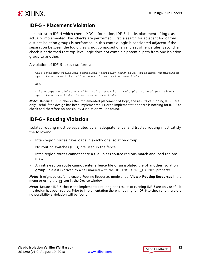

#### **IDF-5 - Placement Violation**

In contrast to IDF-4 which checks XDC information, IDF-5 checks placement of logic as actually implemented. Two checks are performed. First, a search for adjacent logic from distinct isolation groups is performed. In this context logic is considered adjacent if the separation between the logic tiles is not composed of a valid set of fence tiles. Second, a check is performed that top-level logic does not contain a potential path from one isolation group to another.

A violation of IDF-5 takes two forms:

Tile adjacency violation: partition: <*partition name*> tile: <*tile name*> vs partition: <*partition name*> tile: <*tile name*>. Sites: <*site name list*>.

and

Tile occupancy violation: tile: <*tile name*> is in multiple isolated partitions: <*partition name list*>. Sites: <*site name list*>.

*Note:* Because IDF-5 checks the implemented placement of logic, the results of running IDF-5 are only useful if the design has been implemented. Prior to implementation there is nothing for IDF-5 to check and therefore no possibility a violation will be found.

#### **IDF-6 - Routing Violation**

Isolated routing must be separated by an adequate fence; and trusted routing must satisfy the following:

- Inter-region routes have loads in exactly one isolation group
- No routing switches (PIPs) are used in the fence
- Inter-region routes cannot share a tile unless source regions match and load regions match
- An intra-region route cannot enter a fence tile or an isolated tile of another isolation group unless it is driven by a cell marked with the HD.ISOLATED\_EXEMPT property.

*Note:* It might be useful to enable Routing Resources mode under **View > Routing Resources** in the menu or using the  $\frac{1}{2}$  icon in the Device window.

*Note:* Because IDF-6 checks the implemented routing, the results of running IDF-6 are only useful if the design has been routed. Prior to implementation there is nothing for IDF-6 to check and therefore no possibility a violation will be found.

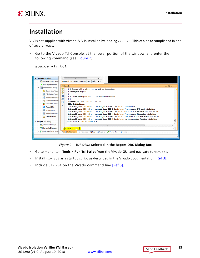

### <span id="page-12-0"></span>**Installation**

VIV is not supplied with Vivado. VIV is installed by loading  $\text{viv.tcl.}$  This can be accomplished in one of several ways.

• Go to the Vivado Tcl Console, at the lower portion of the window, and enter the following command (see [Figure 2\)](#page-12-1):

| source viv.tcl |
|----------------|
|                |

<span id="page-12-1"></span>

*Figure 2:* **IDF DRCs Selected in the Report DRC Dialog Box**

- Go to menu item **Tools > Run Tcl Script** from the Vivado GUI and navigate to viv.tcl.
- Install  $\text{viv.tcl}$  as a startup script as described in the Vivado documentation [\[Ref 3\]](#page-19-7).
- Include  $\text{viv.tcl}$  on the Vivado command line [\[Ref 3\].](#page-19-7)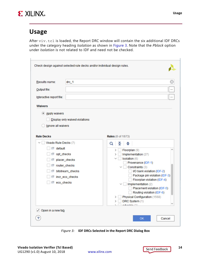

#### <span id="page-13-0"></span>**Usage**

After viv.tcl is loaded, the Report DRC window will contain the six additional IDF DRCs under the category heading *Isolation* as shown in [Figure 3.](#page-13-1) Note that the *Pblock* option under *Isolation* is not related to IDF and need not be checked.

| Results name:<br>Output file:<br>Interactive report file:<br><b>Waivers</b><br>Apply waivers                                                             | Check design against selected rule decks and/or individual design rules.<br>$drc_1$<br>Display only waived violations | <br>$\cdots$                                                                                                                                                                                                                                                                                                                                                                                                                                                                                     |
|----------------------------------------------------------------------------------------------------------------------------------------------------------|-----------------------------------------------------------------------------------------------------------------------|--------------------------------------------------------------------------------------------------------------------------------------------------------------------------------------------------------------------------------------------------------------------------------------------------------------------------------------------------------------------------------------------------------------------------------------------------------------------------------------------------|
| Ignore all waivers<br><b>Rule Decks</b><br>$\vee$ Vivado Rule Decks (7)<br>s default<br>■ opt_checks<br>placer_checks<br>■ router_checks<br>■ eco_checks | s bitstream_checks<br>■ incr_eco_checks                                                                               | <b>Rules</b> (0 of 1873)<br>$\mathbb{E}$ $\Rightarrow$<br>Q<br>Floorplan (9)<br>∽<br>$\rightarrow$<br>Implementation (27)<br>$\rightarrow$<br>Isolation (6)<br>$\checkmark$<br>Provenance (IDF-1)<br>Constraints (3)<br>$\checkmark$<br>I/O bank violation (IDF-2)<br>Package pin violation (IDF-3)<br>Floorplan violation (IDF-4)<br>$\vee$   Implementation (2)<br>Placement violation (IDF-5)<br>Routing violation (IDF-6)<br>Physical Configuration (1568)<br>DRC System (1)<br>odouizio (9) |
| $\sqrt{ }$ Open in a new tab                                                                                                                             |                                                                                                                       | ОК<br>Cancel                                                                                                                                                                                                                                                                                                                                                                                                                                                                                     |

<span id="page-13-1"></span>*Figure 3:* **IDF DRCs Selected in the Report DRC Dialog Box**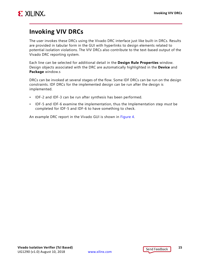

### <span id="page-14-0"></span>**Invoking VIV DRCs**

The user invokes these DRCs using the Vivado DRC interface just like built-in DRCs. Results are provided in tabular form in the GUI with hyperlinks to design elements related to potential isolation violations. The VIV DRCs also contribute to the text-based output of the Vivado DRC reporting system.

Each line can be selected for additional detail in the **Design Rule Properties** window. Design objects associated with the DRC are automatically highlighted in the **Device** and **Package** window.s

DRCs can be invoked at several stages of the flow. Some IDF DRCs can be run on the design constraints. IDF DRCs for the implemented design can be run after the design is implemented.

- IDF-2 and IDF-3 can be run after synthesis has been performed.
- IDF-5 and IDF-6 examine the implementation, thus the Implementation step *must* be completed for IDF-5 and IDF-6 to have something to check.

An example DRC report in the Vivado GUI is shown in [Figure 4.](#page-15-0)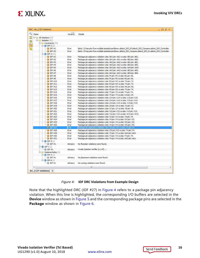

|              | DRC - drc_2 (37 violations)                     | $A$ 1          | $ \Box$ $\bar{x}$ $\times$                                                                                                                         |
|--------------|-------------------------------------------------|----------------|----------------------------------------------------------------------------------------------------------------------------------------------------|
| Name         |                                                 | Severity       | <b>Details</b>                                                                                                                                     |
|              | All Violations (37)                             |                |                                                                                                                                                    |
|              | $\Box$ Isolation (37)                           |                |                                                                                                                                                    |
|              | <b>E</b> Constraints (34)                       |                |                                                                                                                                                    |
|              | $\Box$ $\bigcirc$ IDF-2 (2)                     |                |                                                                                                                                                    |
|              | $D$ IDF #1                                      | Error          | Bank: 13 has pins from multiple isolated partitions: pblock_ISO_K0 pblock_ISO_Compare pblock_ISO_Controller.                                       |
|              | $D$ IDF #2                                      | Error          | Bank: 33 has pins from multiple isolated partitions: pblock_ISO_Compare pblock_ISO_K1 pblock_ISO_Controller.                                       |
|              | $\boxminus$ $\odot$ IDF-3 (31)                  |                |                                                                                                                                                    |
|              | $D$ IDF #1                                      | Error          | Package pin adjacency violation: site: AA1 pin: AA1 vs site: AB1 pin: AB1.                                                                         |
|              | $D$ IDF #2                                      | Error          | Package pin adjacency violation: site: AA1 pin: AA1 vs site: AB2 pin: AB2.                                                                         |
|              | $D$ IDF #3                                      | Error          | Package pin adjacency violation: site: AA2 pin: AA2 vs site: AB1 pin: AB1.                                                                         |
|              | $\bigoplus$ IDF #4                              | Error          | Package pin adjacency violation: site: AA2 pin: AA2 vs site: AB2 pin: AB2.                                                                         |
|              | $D$ IDF #5                                      | Error          | Package pin adjacency violation: site: AA3 pin: AA3 vs site: AA4 pin: AA4.                                                                         |
|              | $D$ IDF #6                                      | Error          | Package pin adjacency violation: site: AA3 pin: AA3 vs site: AB2 pin: AB2.                                                                         |
|              | $\bigoplus$ IDF #7                              | Error          | Package pin adjacency violation: site: AA3 pin: AA3 vs site: AB4 pin: AB4.                                                                         |
|              | $\bigoplus$ IDF #8                              | Error          | Package pin adjacency violation: site: P5 pin: P5 vs site: R6 pin: R6.                                                                             |
|              | $D$ IDF #9                                      | Error          | Package pin adjacency violation: site: P6 pin: P6 vs site: R6 pin: R6.                                                                             |
|              | $\bigoplus$ IDF #10                             | Error          | Package pin adjacency violation: site: R3 pin: R3 vs site: T4 pin: T4.                                                                             |
|              | $\bigoplus$ IDF #11                             | Error          | Package pin adjacency violation: site: R4 pin: R4 vs site: T4 pin: T4.                                                                             |
|              | $\bigoplus$ IDF #12                             | Error          | Package pin adjacency violation: site: R5 pin: R5 vs site: R6 pin: R6.                                                                             |
|              | $D$ IDF #13                                     | Error          | Package pin adjacency violation: site: R5 pin: R5 vs site: T4 pin: T4.                                                                             |
|              | $D$ IDF #14                                     | Error          | Package pin adjacency violation: site: T3 pin: T3 vs site: T4 pin: T4.                                                                             |
|              | <b>DF#15</b>                                    | Error          | Package pin adjacency violation: site: T3 pin: T3 vs site: U4 pin: U4.                                                                             |
|              | $D$ IDF #16                                     | Error          | Package pin adjacency violation: site: U14 pin: U14 vs site: U15 pin: U15.                                                                         |
|              | $D$ IDF #17                                     | Error          | Package pin adjacency violation: site: U14 pin: U14 vs site: V13 pin: V13.                                                                         |
|              | $D$ IDF #18                                     | Error          | Package pin adjacency violation: site: U14 pin: U14 vs site: V14 pin: V14.                                                                         |
|              | $D$ IDF #19                                     | Error          | Package pin adjacency violation: site: U4 pin: U4 vs site: V3 pin: V3.                                                                             |
|              | $D$ IDF #20                                     | Error          | Package pin adjacency violation: site: U7 pin: U7 vs site: V8 pin: V8.                                                                             |
|              | $D$ IDF #21                                     | Error          | Package pin adjacency violation: site: V12 pin: V12 vs site: V13 pin: V13.                                                                         |
|              | $D$ IDF #22                                     | Error          | Package pin adjacency violation: site: V12 pin: V12 vs site: W13 pin: W13.                                                                         |
|              | $D$ IDF #23                                     | Error          | Package pin adjacency violation: site: V3 pin: V3 vs site: V4 pin: V4.                                                                             |
|              | $\bigoplus$ IDF #24                             | Error          | Package pin adjacency violation: site: V4 pin: V4 vs site: W3 pin: W3.                                                                             |
|              | $D$ IDF #25                                     | Error          | Package pin adjacency violation: site: V4 pin: V4 vs site: W5 pin: W5.                                                                             |
|              | $D$ IDF #26                                     | Error          | Package pin adjacency violation: site: V5 pin: V5 vs site: W5 pin: W5.                                                                             |
|              | $\bullet$ IDF #27                               | Error          | Package pin adjacency violation: site: W3 pin: W3 vs site: Y4 pin: Y4.                                                                             |
|              | $D$ IDF #28                                     |                |                                                                                                                                                    |
|              | $D$ IDF #29                                     | Error<br>Error | Package pin adjacency violation: site: W5 pin: W5 vs site: Y4 pin: Y4.<br>Package pin adjacency violation: site: Y3 pin: Y3 vs site: AA4 pin: AA4. |
|              | $D$ IDF #30                                     | Error          | Package pin adjacency violation: site: Y3 pin: Y3 vs site: Y4 pin: Y4.                                                                             |
|              | $D$ IDF #31                                     | Error          | Package pin adjacency violation: site: Y4 pin: Y4 vs site: AA3 pin: AA3.                                                                           |
|              | $\Box$ $\bigcirc$ IDF-4(1)                      |                |                                                                                                                                                    |
|              | $\Box$ (DF#1                                    |                |                                                                                                                                                    |
|              |                                                 | Advisory       | No floorplan violations were found.                                                                                                                |
|              | $\boxminus$ $\odot$ IDF-1(1)<br>$\Box$ O IDF #1 |                | Vivado Isolation Verifier (v1.47)                                                                                                                  |
|              |                                                 | Advisory       |                                                                                                                                                    |
|              | $\Box \Box$ Implementation (2)                  |                |                                                                                                                                                    |
|              | $\Box$ $\bigcirc$ IDF-5 (1)                     |                |                                                                                                                                                    |
|              | $\Box$ (i) IDF #1                               | Advisory       | No placement violations were found.                                                                                                                |
|              | $\Box$ O IDF-6 (1)                              |                |                                                                                                                                                    |
|              | $\Box$ (DF #1                                   | Advisory       | No routing violations were found.                                                                                                                  |
| $\leftarrow$ |                                                 |                | III.                                                                                                                                               |

#### *Figure 4:* **IDF DRC Violations from Example Design**

<span id="page-15-0"></span>Note that the highlighted DRC (IDF #27) in [Figure 4](#page-15-0) refers to a package pin adjacency violation. When this line is highlighted, the corresponding I/O buffers are selected in the **Device** window as shown in [Figure 5](#page-16-0) and the corresponding package pins are selected in the Package window as shown in [Figure 6.](#page-16-1)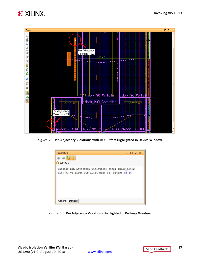



<span id="page-16-0"></span>*Figure 5:* **Pin Adjacency Violations with I/O Buffers Highlighted in Device Window**

<span id="page-16-1"></span>

*Figure 6:* **Pin Adjacency Violations Highlighted in Package Window**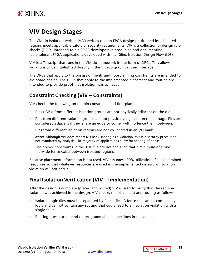

### <span id="page-17-0"></span>**VIV Design Stages**

The Vivado Isolation Verifier (VIV) verifies that an FPGA design partitioned into isolated regions meets applicable safety or security requirements. VIV is a collection of design rule checks (DRCs) intended to aid FPGA developers in producing and documenting fault-tolerant FPGA applications developed with the Xilinx Isolation Design Flow (IDF).

VIV is a Tcl script that runs in the Vivado framework in the form of DRCs. This allows violations to be highlighted directly in the Vivado graphical user interface.

The DRCs that apply to the pin assignments and floorplanning constraints are intended to aid board design. The DRCs that apply to the implemented placement and routing are intended to provide proof that isolation was achieved.

#### **Constraint Checking (VIV – Constraints)**

VIV checks the following on the pin constraints and floorplan:

- Pins (IOBs) from different isolation groups are not physically adjacent on the die.
- Pins from different isolation groups are not physically adjacent on the package. Pins are considered adjacent if they share an edge or corner with no fence tile in between.
- Pins from different isolation regions are not co-located in an I/O bank.

**Note:** Although VIV does report I/O bank sharing as a violation, this is a security precaution – not mandated by analysis. The majority of applications allow for sharing of banks.

• The pblock constraints in the XDC file are defined such that a minimum of a one tile-wide fence exists between isolated regions.

Because placement information is not used, VIV assumes 100% utilization of all constrained resources so that whatever resources are used in the implemented design, an isolation violation will not occur.

#### **Final Isolation Verification (VIV – Implementation)**

After the design is complete (placed and routed) VIV is used to verify that the required isolation was achieved in the design. VIV checks the placement and routing as follows:

- Isolated logic tiles must be separated by fence tiles. A fence tile cannot contain any logic and cannot contain any routing that could lead to an isolation violation with a single fault.
- Routing does not depend on programmable connections in fence tiles.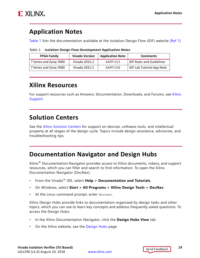

### <span id="page-18-0"></span>**Application Notes**

[Table 1](#page-18-4) lists the documentation available at the Isolation Design Flow (IDF) website [\[Ref 1\]](#page-19-5).

<span id="page-18-4"></span>

| Table 1: Isolation Design Flow Development Application Notes |
|--------------------------------------------------------------|
|--------------------------------------------------------------|

| <b>FPGA Family</b>     | <b>Vivado Version</b> | <b>Application Note</b> | <b>Comments</b>                  |
|------------------------|-----------------------|-------------------------|----------------------------------|
| 7 Series and Zyng-7000 | Vivado 2015.2         | XAPP1222                | <b>IDF Rules and Guidelines</b>  |
| 7 Series and Zyng-7000 | Vivado 2015.2         | XAPP1256                | <b>IDF Lab Tutorial App Note</b> |

### <span id="page-18-1"></span>**Xilinx Resources**

For support resources such as Answers, Documentation, Downloads, and Forums, see [Xilinx](https://www.xilinx.com/support)  [Support](https://www.xilinx.com/support).

### <span id="page-18-2"></span>**Solution Centers**

See the [Xilinx Solution Centers](https://www.xilinx.com/support/solcenters.htm) for support on devices, software tools, and intellectual property at all stages of the design cycle. Topics include design assistance, advisories, and troubleshooting tips.

#### <span id="page-18-3"></span>**Documentation Navigator and Design Hubs**

 $Xilinx<sup>®</sup>$  Documentation Navigator provides access to Xilinx documents, videos, and support resources, which you can filter and search to find information. To open the Xilinx Documentation Navigator (DocNav):

- From the Vivado® IDE, select **Help > Documentation and Tutorials**.
- On Windows, select **Start > All Programs > Xilinx Design Tools > DocNav**.
- At the Linux command prompt, enter docnav.

Xilinx Design Hubs provide links to documentation organized by design tasks and other topics, which you can use to learn key concepts and address frequently asked questions. To access the Design Hubs:

- In the Xilinx Documentation Navigator, click the **Design Hubs View** tab.
- On the Xilinx website, see the [Design Hubs](https://www.xilinx.com/cgi-bin/docs/ndoc?t=design+hubs) page.